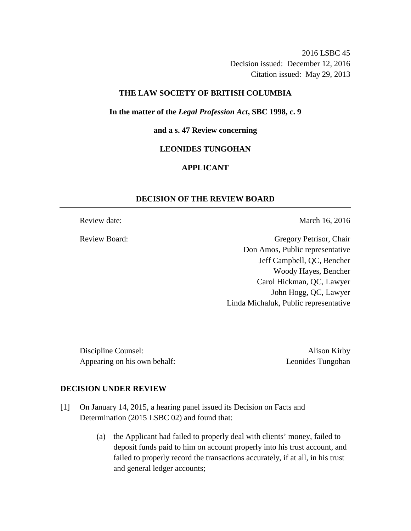2016 LSBC 45 Decision issued: December 12, 2016 Citation issued: May 29, 2013

### **THE LAW SOCIETY OF BRITISH COLUMBIA**

**In the matter of the** *Legal Profession Act***, SBC 1998, c. 9** 

### **and a s. 47 Review concerning**

### **LEONIDES TUNGOHAN**

# **APPLICANT**

## **DECISION OF THE REVIEW BOARD**

Review date: March 16, 2016

Review Board: Gregory Petrisor, Chair Don Amos, Public representative Jeff Campbell, QC, Bencher Woody Hayes, Bencher Carol Hickman, QC, Lawyer John Hogg, QC, Lawyer Linda Michaluk, Public representative

Discipline Counsel: Alison Kirby Appearing on his own behalf: Leonides Tungohan

#### **DECISION UNDER REVIEW**

- [1] On January 14, 2015, a hearing panel issued its Decision on Facts and Determination (2015 LSBC 02) and found that:
	- (a) the Applicant had failed to properly deal with clients' money, failed to deposit funds paid to him on account properly into his trust account, and failed to properly record the transactions accurately, if at all, in his trust and general ledger accounts;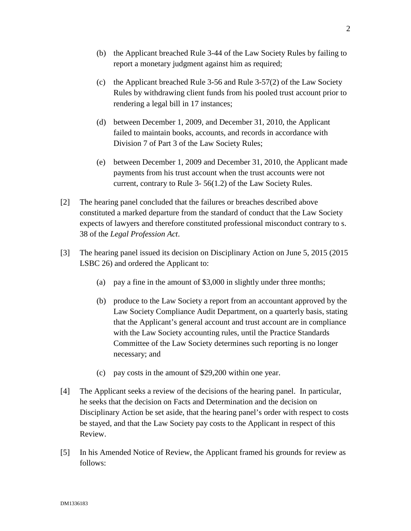- (b) the Applicant breached Rule 3-44 of the Law Society Rules by failing to report a monetary judgment against him as required;
- (c) the Applicant breached Rule 3-56 and Rule 3-57(2) of the Law Society Rules by withdrawing client funds from his pooled trust account prior to rendering a legal bill in 17 instances;
- (d) between December 1, 2009, and December 31, 2010, the Applicant failed to maintain books, accounts, and records in accordance with Division 7 of Part 3 of the Law Society Rules;
- (e) between December 1, 2009 and December 31, 2010, the Applicant made payments from his trust account when the trust accounts were not current, contrary to Rule 3- 56(1.2) of the Law Society Rules.
- [2] The hearing panel concluded that the failures or breaches described above constituted a marked departure from the standard of conduct that the Law Society expects of lawyers and therefore constituted professional misconduct contrary to s. 38 of the *Legal Profession Act*.
- [3] The hearing panel issued its decision on Disciplinary Action on June 5, 2015 (2015 LSBC 26) and ordered the Applicant to:
	- (a) pay a fine in the amount of \$3,000 in slightly under three months;
	- (b) produce to the Law Society a report from an accountant approved by the Law Society Compliance Audit Department, on a quarterly basis, stating that the Applicant's general account and trust account are in compliance with the Law Society accounting rules, until the Practice Standards Committee of the Law Society determines such reporting is no longer necessary; and
	- (c) pay costs in the amount of \$29,200 within one year.
- [4] The Applicant seeks a review of the decisions of the hearing panel. In particular, he seeks that the decision on Facts and Determination and the decision on Disciplinary Action be set aside, that the hearing panel's order with respect to costs be stayed, and that the Law Society pay costs to the Applicant in respect of this Review.
- [5] In his Amended Notice of Review, the Applicant framed his grounds for review as follows: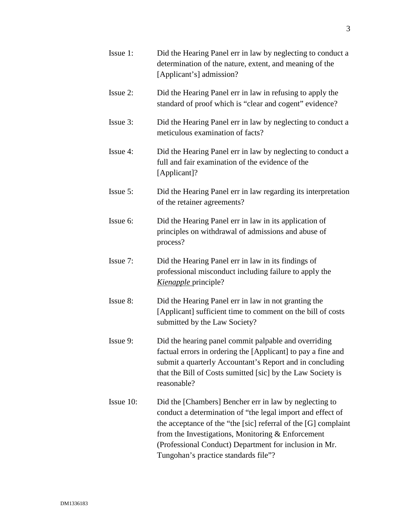| Issue 1:  | Did the Hearing Panel err in law by neglecting to conduct a<br>determination of the nature, extent, and meaning of the<br>[Applicant's] admission?                                                                                                                                                                                              |
|-----------|-------------------------------------------------------------------------------------------------------------------------------------------------------------------------------------------------------------------------------------------------------------------------------------------------------------------------------------------------|
| Issue 2:  | Did the Hearing Panel err in law in refusing to apply the<br>standard of proof which is "clear and cogent" evidence?                                                                                                                                                                                                                            |
| Issue 3:  | Did the Hearing Panel err in law by neglecting to conduct a<br>meticulous examination of facts?                                                                                                                                                                                                                                                 |
| Issue 4:  | Did the Hearing Panel err in law by neglecting to conduct a<br>full and fair examination of the evidence of the<br>[Applicant]?                                                                                                                                                                                                                 |
| Issue 5:  | Did the Hearing Panel err in law regarding its interpretation<br>of the retainer agreements?                                                                                                                                                                                                                                                    |
| Issue 6:  | Did the Hearing Panel err in law in its application of<br>principles on withdrawal of admissions and abuse of<br>process?                                                                                                                                                                                                                       |
| Issue 7:  | Did the Hearing Panel err in law in its findings of<br>professional misconduct including failure to apply the<br>Kienapple principle?                                                                                                                                                                                                           |
| Issue 8:  | Did the Hearing Panel err in law in not granting the<br>[Applicant] sufficient time to comment on the bill of costs<br>submitted by the Law Society?                                                                                                                                                                                            |
| Issue 9:  | Did the hearing panel commit palpable and overriding<br>factual errors in ordering the [Applicant] to pay a fine and<br>submit a quarterly Accountant's Report and in concluding<br>that the Bill of Costs sumitted [sic] by the Law Society is<br>reasonable?                                                                                  |
| Issue 10: | Did the [Chambers] Bencher err in law by neglecting to<br>conduct a determination of "the legal import and effect of<br>the acceptance of the "the [sic] referral of the [G] complaint<br>from the Investigations, Monitoring $&$ Enforcement<br>(Professional Conduct) Department for inclusion in Mr.<br>Tungohan's practice standards file"? |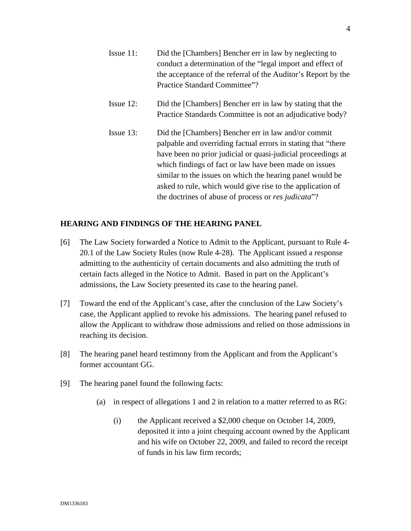Issue 11: Did the [Chambers] Bencher err in law by neglecting to conduct a determination of the "legal import and effect of the acceptance of the referral of the Auditor's Report by the Practice Standard Committee"? Issue 12: Did the [Chambers] Bencher err in law by stating that the

Practice Standards Committee is not an adjudicative body?

Issue 13: Did the [Chambers] Bencher err in law and/or commit palpable and overriding factual errors in stating that "there have been no prior judicial or quasi-judicial proceedings at which findings of fact or law have been made on issues similar to the issues on which the hearing panel would be asked to rule, which would give rise to the application of the doctrines of abuse of process or *res judicata*"?

## **HEARING AND FINDINGS OF THE HEARING PANEL**

- [6] The Law Society forwarded a Notice to Admit to the Applicant, pursuant to Rule 4- 20.1 of the Law Society Rules (now Rule 4-28). The Applicant issued a response admitting to the authenticity of certain documents and also admitting the truth of certain facts alleged in the Notice to Admit. Based in part on the Applicant's admissions, the Law Society presented its case to the hearing panel.
- [7] Toward the end of the Applicant's case, after the conclusion of the Law Society's case, the Applicant applied to revoke his admissions. The hearing panel refused to allow the Applicant to withdraw those admissions and relied on those admissions in reaching its decision.
- [8] The hearing panel heard testimony from the Applicant and from the Applicant's former accountant GG.
- [9] The hearing panel found the following facts:
	- (a) in respect of allegations 1 and 2 in relation to a matter referred to as RG:
		- (i) the Applicant received a \$2,000 cheque on October 14, 2009, deposited it into a joint chequing account owned by the Applicant and his wife on October 22, 2009, and failed to record the receipt of funds in his law firm records;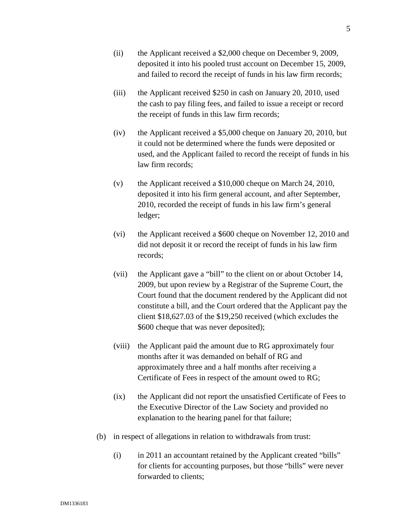- (ii) the Applicant received a \$2,000 cheque on December 9, 2009, deposited it into his pooled trust account on December 15, 2009, and failed to record the receipt of funds in his law firm records;
- (iii) the Applicant received \$250 in cash on January 20, 2010, used the cash to pay filing fees, and failed to issue a receipt or record the receipt of funds in this law firm records;
- (iv) the Applicant received a \$5,000 cheque on January 20, 2010, but it could not be determined where the funds were deposited or used, and the Applicant failed to record the receipt of funds in his law firm records;
- (v) the Applicant received a \$10,000 cheque on March 24, 2010, deposited it into his firm general account, and after September, 2010, recorded the receipt of funds in his law firm's general ledger;
- (vi) the Applicant received a \$600 cheque on November 12, 2010 and did not deposit it or record the receipt of funds in his law firm records;
- (vii) the Applicant gave a "bill" to the client on or about October 14, 2009, but upon review by a Registrar of the Supreme Court, the Court found that the document rendered by the Applicant did not constitute a bill, and the Court ordered that the Applicant pay the client \$18,627.03 of the \$19,250 received (which excludes the \$600 cheque that was never deposited);
- (viii) the Applicant paid the amount due to RG approximately four months after it was demanded on behalf of RG and approximately three and a half months after receiving a Certificate of Fees in respect of the amount owed to RG;
- (ix) the Applicant did not report the unsatisfied Certificate of Fees to the Executive Director of the Law Society and provided no explanation to the hearing panel for that failure;
- (b) in respect of allegations in relation to withdrawals from trust:
	- (i) in 2011 an accountant retained by the Applicant created "bills" for clients for accounting purposes, but those "bills" were never forwarded to clients;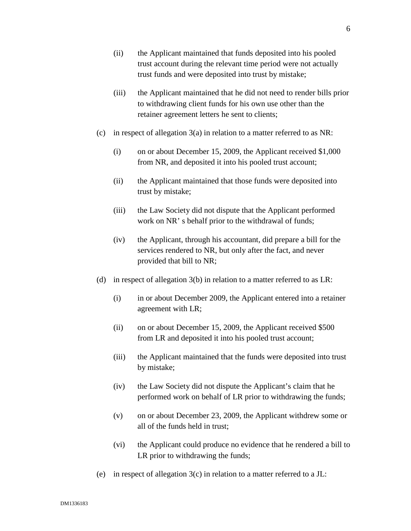- (ii) the Applicant maintained that funds deposited into his pooled trust account during the relevant time period were not actually trust funds and were deposited into trust by mistake;
- (iii) the Applicant maintained that he did not need to render bills prior to withdrawing client funds for his own use other than the retainer agreement letters he sent to clients;
- (c) in respect of allegation  $3(a)$  in relation to a matter referred to as NR:
	- (i) on or about December 15, 2009, the Applicant received \$1,000 from NR, and deposited it into his pooled trust account;
	- (ii) the Applicant maintained that those funds were deposited into trust by mistake;
	- (iii) the Law Society did not dispute that the Applicant performed work on NR' s behalf prior to the withdrawal of funds;
	- (iv) the Applicant, through his accountant, did prepare a bill for the services rendered to NR, but only after the fact, and never provided that bill to NR;
- (d) in respect of allegation 3(b) in relation to a matter referred to as LR:
	- (i) in or about December 2009, the Applicant entered into a retainer agreement with LR;
	- (ii) on or about December 15, 2009, the Applicant received \$500 from LR and deposited it into his pooled trust account;
	- (iii) the Applicant maintained that the funds were deposited into trust by mistake;
	- (iv) the Law Society did not dispute the Applicant's claim that he performed work on behalf of LR prior to withdrawing the funds;
	- (v) on or about December 23, 2009, the Applicant withdrew some or all of the funds held in trust;
	- (vi) the Applicant could produce no evidence that he rendered a bill to LR prior to withdrawing the funds;
- (e) in respect of allegation  $3(c)$  in relation to a matter referred to a JL: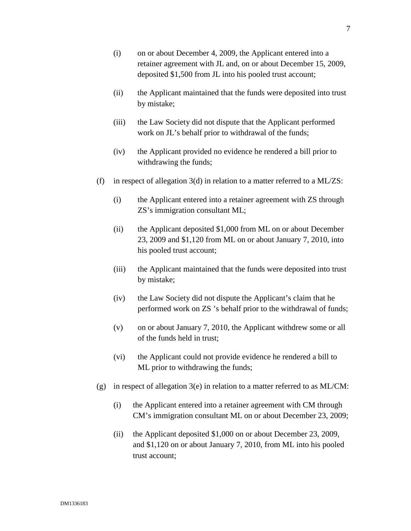- (i) on or about December 4, 2009, the Applicant entered into a retainer agreement with JL and, on or about December 15, 2009, deposited \$1,500 from JL into his pooled trust account;
- (ii) the Applicant maintained that the funds were deposited into trust by mistake;
- (iii) the Law Society did not dispute that the Applicant performed work on JL's behalf prior to withdrawal of the funds;
- (iv) the Applicant provided no evidence he rendered a bill prior to withdrawing the funds;
- (f) in respect of allegation  $3(d)$  in relation to a matter referred to a ML/ZS:
	- (i) the Applicant entered into a retainer agreement with ZS through ZS's immigration consultant ML;
	- (ii) the Applicant deposited \$1,000 from ML on or about December 23, 2009 and \$1,120 from ML on or about January 7, 2010, into his pooled trust account;
	- (iii) the Applicant maintained that the funds were deposited into trust by mistake;
	- (iv) the Law Society did not dispute the Applicant's claim that he performed work on ZS 's behalf prior to the withdrawal of funds;
	- (v) on or about January 7, 2010, the Applicant withdrew some or all of the funds held in trust;
	- (vi) the Applicant could not provide evidence he rendered a bill to ML prior to withdrawing the funds;
- (g) in respect of allegation  $3(e)$  in relation to a matter referred to as ML/CM:
	- (i) the Applicant entered into a retainer agreement with CM through CM's immigration consultant ML on or about December 23, 2009;
	- (ii) the Applicant deposited \$1,000 on or about December 23, 2009, and \$1,120 on or about January 7, 2010, from ML into his pooled trust account;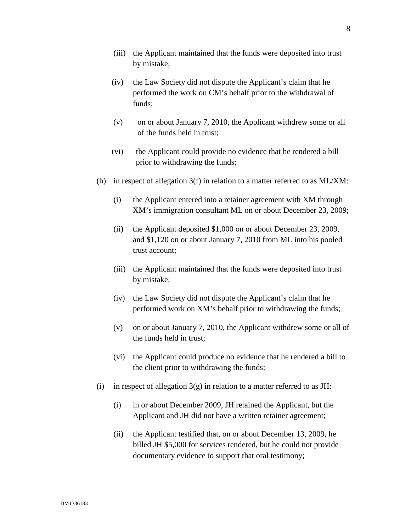- (iii) the Applicant maintained that the funds were deposited into trust by mistake;
- (iv) the Law Society did not dispute the Applicant's claim that he performed the work on CM's behalf prior to the withdrawal of funds;
- (v) on or about January 7, 2010, the Applicant withdrew some or all of the funds held in trust;
- (vi) the Applicant could provide no evidence that he rendered a bill prior to withdrawing the funds;
- (h) in respect of allegation  $3(f)$  in relation to a matter referred to as ML/XM:
	- (i) the Applicant entered into a retainer agreement with XM through XM's immigration consultant ML on or about December 23, 2009;
	- (ii) the Applicant deposited \$1,000 on or about December 23, 2009, and \$1,120 on or about January 7, 2010 from ML into his pooled trust account;
	- (iii) the Applicant maintained that the funds were deposited into trust by mistake;
	- (iv) the Law Society did not dispute the Applicant's claim that he performed work on XM's behalf prior to withdrawing the funds;
	- (v) on or about January 7, 2010, the Applicant withdrew some or all of the funds held in trust;
	- (vi) the Applicant could produce no evidence that he rendered a bill to the client prior to withdrawing the funds;
- (i) in respect of allegation  $3(g)$  in relation to a matter referred to as JH:
	- (i) in or about December 2009, JH retained the Applicant, but the Applicant and JH did not have a written retainer agreement;
	- (ii) the Applicant testified that, on or about December 13, 2009, he billed JH \$5,000 for services rendered, but he could not provide documentary evidence to support that oral testimony;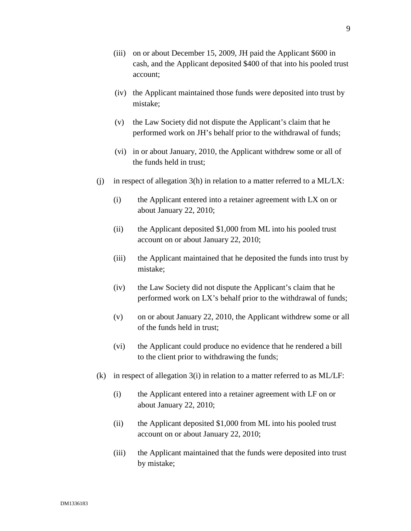- (iii) on or about December 15, 2009, JH paid the Applicant \$600 in cash, and the Applicant deposited \$400 of that into his pooled trust account;
- (iv) the Applicant maintained those funds were deposited into trust by mistake;
- (v) the Law Society did not dispute the Applicant's claim that he performed work on JH's behalf prior to the withdrawal of funds;
- (vi) in or about January, 2010, the Applicant withdrew some or all of the funds held in trust;
- (i) in respect of allegation  $3(h)$  in relation to a matter referred to a ML/LX:
	- (i) the Applicant entered into a retainer agreement with LX on or about January 22, 2010;
	- (ii) the Applicant deposited \$1,000 from ML into his pooled trust account on or about January 22, 2010;
	- (iii) the Applicant maintained that he deposited the funds into trust by mistake;
	- (iv) the Law Society did not dispute the Applicant's claim that he performed work on LX's behalf prior to the withdrawal of funds;
	- (v) on or about January 22, 2010, the Applicant withdrew some or all of the funds held in trust;
	- (vi) the Applicant could produce no evidence that he rendered a bill to the client prior to withdrawing the funds;
- (k) in respect of allegation 3(i) in relation to a matter referred to as ML/LF:
	- (i) the Applicant entered into a retainer agreement with LF on or about January 22, 2010;
	- (ii) the Applicant deposited \$1,000 from ML into his pooled trust account on or about January 22, 2010;
	- (iii) the Applicant maintained that the funds were deposited into trust by mistake;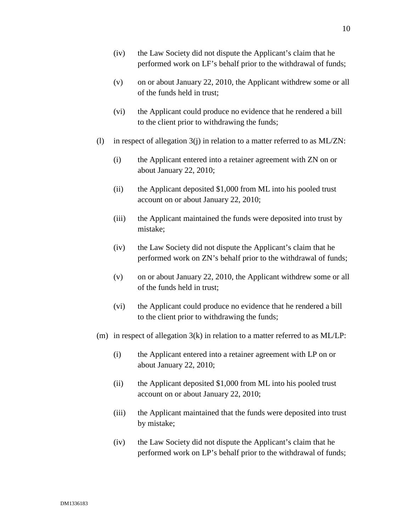- (iv) the Law Society did not dispute the Applicant's claim that he performed work on LF's behalf prior to the withdrawal of funds;
- (v) on or about January 22, 2010, the Applicant withdrew some or all of the funds held in trust;
- (vi) the Applicant could produce no evidence that he rendered a bill to the client prior to withdrawing the funds;
- (l) in respect of allegation  $3(i)$  in relation to a matter referred to as ML/ZN:
	- (i) the Applicant entered into a retainer agreement with ZN on or about January 22, 2010;
	- (ii) the Applicant deposited \$1,000 from ML into his pooled trust account on or about January 22, 2010;
	- (iii) the Applicant maintained the funds were deposited into trust by mistake;
	- (iv) the Law Society did not dispute the Applicant's claim that he performed work on ZN's behalf prior to the withdrawal of funds;
	- (v) on or about January 22, 2010, the Applicant withdrew some or all of the funds held in trust;
	- (vi) the Applicant could produce no evidence that he rendered a bill to the client prior to withdrawing the funds;
- (m) in respect of allegation  $3(k)$  in relation to a matter referred to as ML/LP:
	- (i) the Applicant entered into a retainer agreement with LP on or about January 22, 2010;
	- (ii) the Applicant deposited \$1,000 from ML into his pooled trust account on or about January 22, 2010;
	- (iii) the Applicant maintained that the funds were deposited into trust by mistake;
	- (iv) the Law Society did not dispute the Applicant's claim that he performed work on LP's behalf prior to the withdrawal of funds;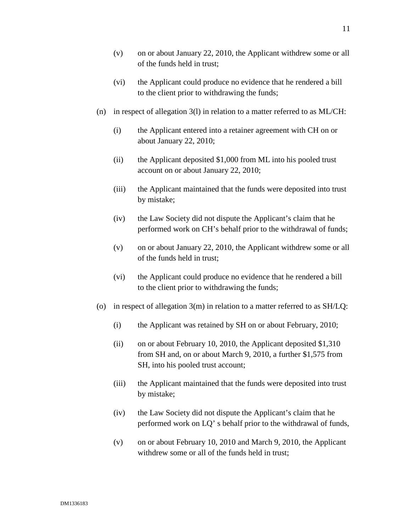- (v) on or about January 22, 2010, the Applicant withdrew some or all of the funds held in trust;
- (vi) the Applicant could produce no evidence that he rendered a bill to the client prior to withdrawing the funds;
- (n) in respect of allegation 3(l) in relation to a matter referred to as ML/CH:
	- (i) the Applicant entered into a retainer agreement with CH on or about January 22, 2010;
	- (ii) the Applicant deposited \$1,000 from ML into his pooled trust account on or about January 22, 2010;
	- (iii) the Applicant maintained that the funds were deposited into trust by mistake;
	- (iv) the Law Society did not dispute the Applicant's claim that he performed work on CH's behalf prior to the withdrawal of funds;
	- (v) on or about January 22, 2010, the Applicant withdrew some or all of the funds held in trust;
	- (vi) the Applicant could produce no evidence that he rendered a bill to the client prior to withdrawing the funds;
- (o) in respect of allegation  $3(m)$  in relation to a matter referred to as  $SH/LQ$ :
	- (i) the Applicant was retained by SH on or about February, 2010;
	- (ii) on or about February 10, 2010, the Applicant deposited \$1,310 from SH and, on or about March 9, 2010, a further \$1,575 from SH, into his pooled trust account;
	- (iii) the Applicant maintained that the funds were deposited into trust by mistake;
	- (iv) the Law Society did not dispute the Applicant's claim that he performed work on LQ' s behalf prior to the withdrawal of funds,
	- (v) on or about February 10, 2010 and March 9, 2010, the Applicant withdrew some or all of the funds held in trust;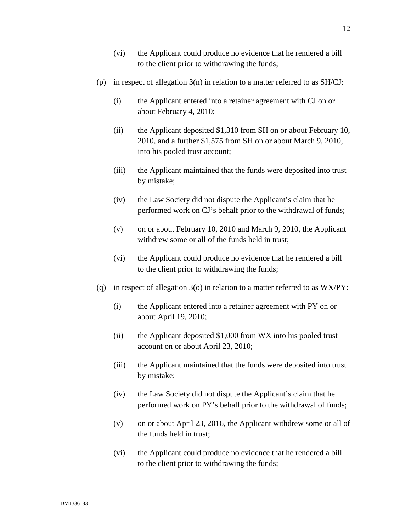- (vi) the Applicant could produce no evidence that he rendered a bill to the client prior to withdrawing the funds;
- (p) in respect of allegation 3(n) in relation to a matter referred to as SH/CJ:
	- (i) the Applicant entered into a retainer agreement with CJ on or about February 4, 2010;
	- (ii) the Applicant deposited \$1,310 from SH on or about February 10, 2010, and a further \$1,575 from SH on or about March 9, 2010, into his pooled trust account;
	- (iii) the Applicant maintained that the funds were deposited into trust by mistake;
	- (iv) the Law Society did not dispute the Applicant's claim that he performed work on CJ's behalf prior to the withdrawal of funds;
	- (v) on or about February 10, 2010 and March 9, 2010, the Applicant withdrew some or all of the funds held in trust;
	- (vi) the Applicant could produce no evidence that he rendered a bill to the client prior to withdrawing the funds;
- (q) in respect of allegation  $3$ (o) in relation to a matter referred to as WX/PY:
	- (i) the Applicant entered into a retainer agreement with PY on or about April 19, 2010;
	- (ii) the Applicant deposited \$1,000 from WX into his pooled trust account on or about April 23, 2010;
	- (iii) the Applicant maintained that the funds were deposited into trust by mistake;
	- (iv) the Law Society did not dispute the Applicant's claim that he performed work on PY's behalf prior to the withdrawal of funds;
	- (v) on or about April 23, 2016, the Applicant withdrew some or all of the funds held in trust;
	- (vi) the Applicant could produce no evidence that he rendered a bill to the client prior to withdrawing the funds;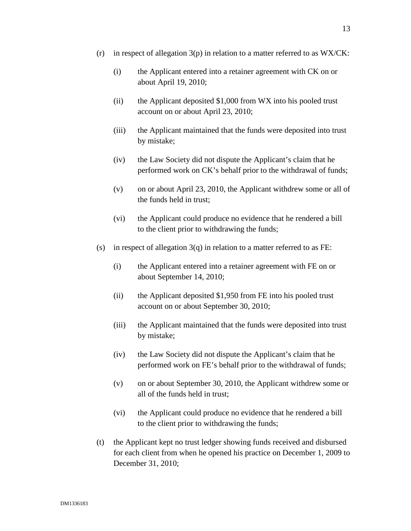- (r) in respect of allegation  $3(p)$  in relation to a matter referred to as WX/CK:
	- (i) the Applicant entered into a retainer agreement with CK on or about April 19, 2010;
	- (ii) the Applicant deposited \$1,000 from WX into his pooled trust account on or about April 23, 2010;
	- (iii) the Applicant maintained that the funds were deposited into trust by mistake;
	- (iv) the Law Society did not dispute the Applicant's claim that he performed work on CK's behalf prior to the withdrawal of funds;
	- (v) on or about April 23, 2010, the Applicant withdrew some or all of the funds held in trust;
	- (vi) the Applicant could produce no evidence that he rendered a bill to the client prior to withdrawing the funds;
- (s) in respect of allegation  $3(q)$  in relation to a matter referred to as FE:
	- (i) the Applicant entered into a retainer agreement with FE on or about September 14, 2010;
	- (ii) the Applicant deposited \$1,950 from FE into his pooled trust account on or about September 30, 2010;
	- (iii) the Applicant maintained that the funds were deposited into trust by mistake;
	- (iv) the Law Society did not dispute the Applicant's claim that he performed work on FE's behalf prior to the withdrawal of funds;
	- (v) on or about September 30, 2010, the Applicant withdrew some or all of the funds held in trust;
	- (vi) the Applicant could produce no evidence that he rendered a bill to the client prior to withdrawing the funds;
- (t) the Applicant kept no trust ledger showing funds received and disbursed for each client from when he opened his practice on December 1, 2009 to December 31, 2010;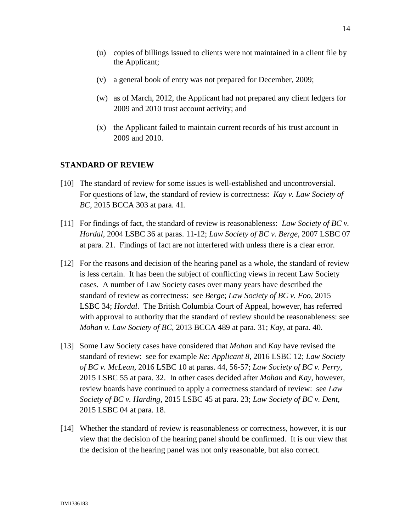- (u) copies of billings issued to clients were not maintained in a client file by the Applicant;
- (v) a general book of entry was not prepared for December, 2009;
- (w) as of March, 2012, the Applicant had not prepared any client ledgers for 2009 and 2010 trust account activity; and
- (x) the Applicant failed to maintain current records of his trust account in 2009 and 2010.

#### **STANDARD OF REVIEW**

- [10] The standard of review for some issues is well-established and uncontroversial. For questions of law, the standard of review is correctness: *Kay v. Law Society of BC*, 2015 BCCA 303 at para. 41.
- [11] For findings of fact, the standard of review is reasonableness: *Law Society of BC v. Hordal,* 2004 LSBC 36 at paras. 11-12; *Law Society of BC v. Berge*, 2007 LSBC 07 at para. 21. Findings of fact are not interfered with unless there is a clear error.
- [12] For the reasons and decision of the hearing panel as a whole, the standard of review is less certain. It has been the subject of conflicting views in recent Law Society cases. A number of Law Society cases over many years have described the standard of review as correctness: see *Berge*; *Law Society of BC v. Foo*, 2015 LSBC 34; *Hordal*. The British Columbia Court of Appeal, however, has referred with approval to authority that the standard of review should be reasonableness: see *Mohan v. Law Society of BC*, 2013 BCCA 489 at para. 31; *Kay,* at para. 40.
- [13] Some Law Society cases have considered that *Mohan* and *Kay* have revised the standard of review: see for example *Re: Applicant 8,* 2016 LSBC 12; *Law Society of BC v. McLean,* 2016 LSBC 10 at paras. 44, 56-57; *Law Society of BC v. Perry*, 2015 LSBC 55 at para. 32. In other cases decided after *Mohan* and *Kay*, however, review boards have continued to apply a correctness standard of review: see *Law Society of BC v. Harding,* 2015 LSBC 45 at para. 23; *Law Society of BC v. Dent,* 2015 LSBC 04 at para. 18.
- [14] Whether the standard of review is reasonableness or correctness, however, it is our view that the decision of the hearing panel should be confirmed. It is our view that the decision of the hearing panel was not only reasonable, but also correct.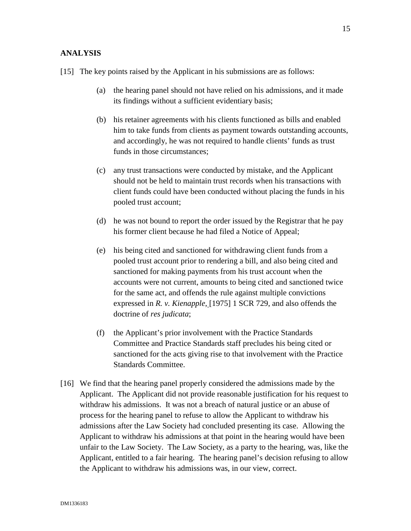- (a) the hearing panel should not have relied on his admissions, and it made its findings without a sufficient evidentiary basis;
- (b) his retainer agreements with his clients functioned as bills and enabled him to take funds from clients as payment towards outstanding accounts, and accordingly, he was not required to handle clients' funds as trust funds in those circumstances;
- (c) any trust transactions were conducted by mistake, and the Applicant should not be held to maintain trust records when his transactions with client funds could have been conducted without placing the funds in his pooled trust account;
- (d) he was not bound to report the order issued by the Registrar that he pay his former client because he had filed a Notice of Appeal;
- (e) his being cited and sanctioned for withdrawing client funds from a pooled trust account prior to rendering a bill, and also being cited and sanctioned for making payments from his trust account when the accounts were not current, amounts to being cited and sanctioned twice for the same act, and offends the rule against multiple convictions expressed in *R. v. Kienapple*, [1975] 1 SCR 729, and also offends the doctrine of *res judicata*;
- (f) the Applicant's prior involvement with the Practice Standards Committee and Practice Standards staff precludes his being cited or sanctioned for the acts giving rise to that involvement with the Practice Standards Committee.
- [16] We find that the hearing panel properly considered the admissions made by the Applicant. The Applicant did not provide reasonable justification for his request to withdraw his admissions. It was not a breach of natural justice or an abuse of process for the hearing panel to refuse to allow the Applicant to withdraw his admissions after the Law Society had concluded presenting its case. Allowing the Applicant to withdraw his admissions at that point in the hearing would have been unfair to the Law Society. The Law Society, as a party to the hearing, was, like the Applicant, entitled to a fair hearing. The hearing panel's decision refusing to allow the Applicant to withdraw his admissions was, in our view, correct.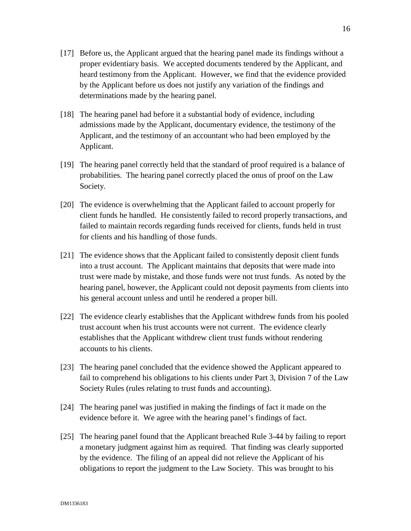- [18] The hearing panel had before it a substantial body of evidence, including admissions made by the Applicant, documentary evidence, the testimony of the Applicant, and the testimony of an accountant who had been employed by the Applicant.
- [19] The hearing panel correctly held that the standard of proof required is a balance of probabilities. The hearing panel correctly placed the onus of proof on the Law Society.
- [20] The evidence is overwhelming that the Applicant failed to account properly for client funds he handled. He consistently failed to record properly transactions, and failed to maintain records regarding funds received for clients, funds held in trust for clients and his handling of those funds.
- [21] The evidence shows that the Applicant failed to consistently deposit client funds into a trust account. The Applicant maintains that deposits that were made into trust were made by mistake, and those funds were not trust funds. As noted by the hearing panel, however, the Applicant could not deposit payments from clients into his general account unless and until he rendered a proper bill.
- [22] The evidence clearly establishes that the Applicant withdrew funds from his pooled trust account when his trust accounts were not current. The evidence clearly establishes that the Applicant withdrew client trust funds without rendering accounts to his clients.
- [23] The hearing panel concluded that the evidence showed the Applicant appeared to fail to comprehend his obligations to his clients under Part 3, Division 7 of the Law Society Rules (rules relating to trust funds and accounting).
- [24] The hearing panel was justified in making the findings of fact it made on the evidence before it. We agree with the hearing panel's findings of fact.
- [25] The hearing panel found that the Applicant breached Rule 3-44 by failing to report a monetary judgment against him as required. That finding was clearly supported by the evidence. The filing of an appeal did not relieve the Applicant of his obligations to report the judgment to the Law Society. This was brought to his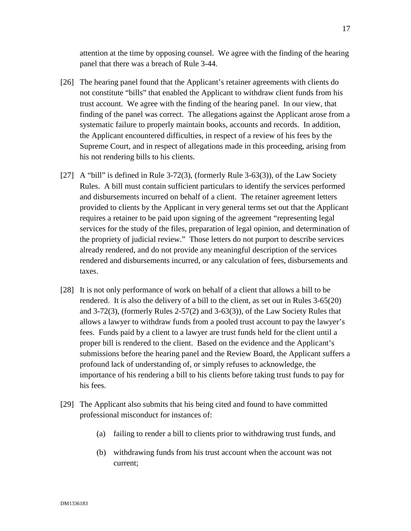attention at the time by opposing counsel. We agree with the finding of the hearing panel that there was a breach of Rule 3-44.

- [26] The hearing panel found that the Applicant's retainer agreements with clients do not constitute "bills" that enabled the Applicant to withdraw client funds from his trust account. We agree with the finding of the hearing panel. In our view, that finding of the panel was correct. The allegations against the Applicant arose from a systematic failure to properly maintain books, accounts and records. In addition, the Applicant encountered difficulties, in respect of a review of his fees by the Supreme Court, and in respect of allegations made in this proceeding, arising from his not rendering bills to his clients.
- [27] A "bill" is defined in Rule 3-72(3), (formerly Rule 3-63(3)), of the Law Society Rules. A bill must contain sufficient particulars to identify the services performed and disbursements incurred on behalf of a client. The retainer agreement letters provided to clients by the Applicant in very general terms set out that the Applicant requires a retainer to be paid upon signing of the agreement "representing legal services for the study of the files, preparation of legal opinion, and determination of the propriety of judicial review." Those letters do not purport to describe services already rendered, and do not provide any meaningful description of the services rendered and disbursements incurred, or any calculation of fees, disbursements and taxes.
- [28] It is not only performance of work on behalf of a client that allows a bill to be rendered. It is also the delivery of a bill to the client, as set out in Rules 3-65(20) and 3-72(3), (formerly Rules 2-57(2) and 3-63(3)), of the Law Society Rules that allows a lawyer to withdraw funds from a pooled trust account to pay the lawyer's fees. Funds paid by a client to a lawyer are trust funds held for the client until a proper bill is rendered to the client. Based on the evidence and the Applicant's submissions before the hearing panel and the Review Board, the Applicant suffers a profound lack of understanding of, or simply refuses to acknowledge, the importance of his rendering a bill to his clients before taking trust funds to pay for his fees.
- [29] The Applicant also submits that his being cited and found to have committed professional misconduct for instances of:
	- (a) failing to render a bill to clients prior to withdrawing trust funds, and
	- (b) withdrawing funds from his trust account when the account was not current;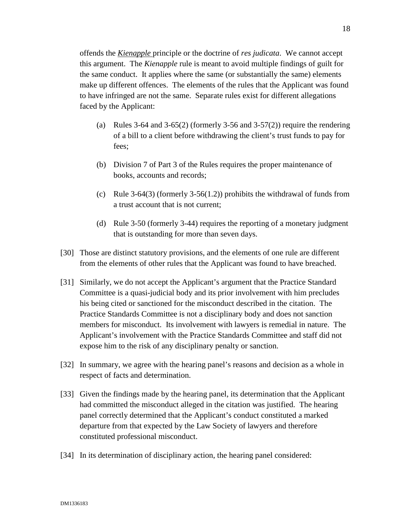offends the *Kienapple* principle or the doctrine of *res judicata*. We cannot accept this argument. The *Kienapple* rule is meant to avoid multiple findings of guilt for the same conduct. It applies where the same (or substantially the same) elements make up different offences. The elements of the rules that the Applicant was found to have infringed are not the same. Separate rules exist for different allegations faced by the Applicant:

- (a) Rules 3-64 and 3-65(2) (formerly 3-56 and 3-57(2)) require the rendering of a bill to a client before withdrawing the client's trust funds to pay for fees;
- (b) Division 7 of Part 3 of the Rules requires the proper maintenance of books, accounts and records;
- (c) Rule 3-64(3) (formerly 3-56(1.2)) prohibits the withdrawal of funds from a trust account that is not current;
- (d) Rule 3-50 (formerly 3-44) requires the reporting of a monetary judgment that is outstanding for more than seven days.
- [30] Those are distinct statutory provisions, and the elements of one rule are different from the elements of other rules that the Applicant was found to have breached.
- [31] Similarly, we do not accept the Applicant's argument that the Practice Standard Committee is a quasi-judicial body and its prior involvement with him precludes his being cited or sanctioned for the misconduct described in the citation. The Practice Standards Committee is not a disciplinary body and does not sanction members for misconduct. Its involvement with lawyers is remedial in nature. The Applicant's involvement with the Practice Standards Committee and staff did not expose him to the risk of any disciplinary penalty or sanction.
- [32] In summary, we agree with the hearing panel's reasons and decision as a whole in respect of facts and determination.
- [33] Given the findings made by the hearing panel, its determination that the Applicant had committed the misconduct alleged in the citation was justified. The hearing panel correctly determined that the Applicant's conduct constituted a marked departure from that expected by the Law Society of lawyers and therefore constituted professional misconduct.
- [34] In its determination of disciplinary action, the hearing panel considered: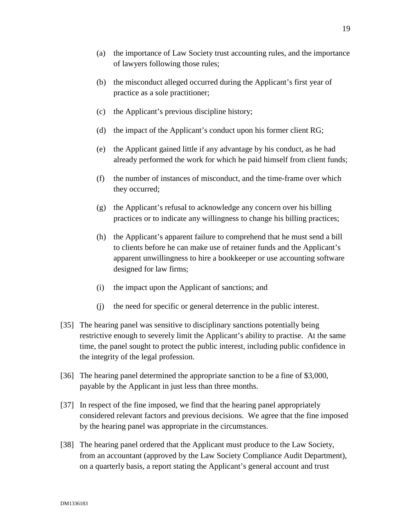- (a) the importance of Law Society trust accounting rules, and the importance of lawyers following those rules;
- (b) the misconduct alleged occurred during the Applicant's first year of practice as a sole practitioner;
- (c) the Applicant's previous discipline history;
- (d) the impact of the Applicant's conduct upon his former client RG;
- (e) the Applicant gained little if any advantage by his conduct, as he had already performed the work for which he paid himself from client funds;
- (f) the number of instances of misconduct, and the time-frame over which they occurred;
- (g) the Applicant's refusal to acknowledge any concern over his billing practices or to indicate any willingness to change his billing practices;
- (h) the Applicant's apparent failure to comprehend that he must send a bill to clients before he can make use of retainer funds and the Applicant's apparent unwillingness to hire a bookkeeper or use accounting software designed for law firms;
- (i) the impact upon the Applicant of sanctions; and
- (j) the need for specific or general deterrence in the public interest.
- [35] The hearing panel was sensitive to disciplinary sanctions potentially being restrictive enough to severely limit the Applicant's ability to practise. At the same time, the panel sought to protect the public interest, including public confidence in the integrity of the legal profession.
- [36] The hearing panel determined the appropriate sanction to be a fine of \$3,000, payable by the Applicant in just less than three months.
- [37] In respect of the fine imposed, we find that the hearing panel appropriately considered relevant factors and previous decisions. We agree that the fine imposed by the hearing panel was appropriate in the circumstances.
- [38] The hearing panel ordered that the Applicant must produce to the Law Society, from an accountant (approved by the Law Society Compliance Audit Department), on a quarterly basis, a report stating the Applicant's general account and trust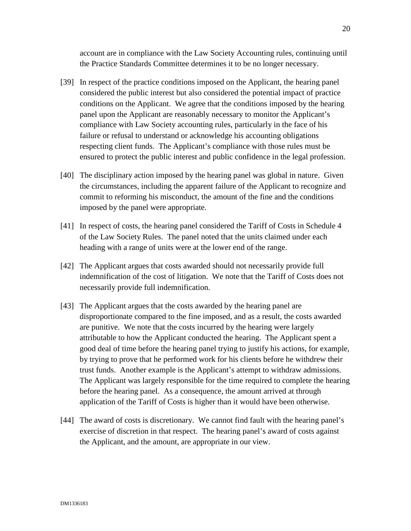account are in compliance with the Law Society Accounting rules, continuing until the Practice Standards Committee determines it to be no longer necessary.

- [39] In respect of the practice conditions imposed on the Applicant, the hearing panel considered the public interest but also considered the potential impact of practice conditions on the Applicant. We agree that the conditions imposed by the hearing panel upon the Applicant are reasonably necessary to monitor the Applicant's compliance with Law Society accounting rules, particularly in the face of his failure or refusal to understand or acknowledge his accounting obligations respecting client funds. The Applicant's compliance with those rules must be ensured to protect the public interest and public confidence in the legal profession.
- [40] The disciplinary action imposed by the hearing panel was global in nature. Given the circumstances, including the apparent failure of the Applicant to recognize and commit to reforming his misconduct, the amount of the fine and the conditions imposed by the panel were appropriate.
- [41] In respect of costs, the hearing panel considered the Tariff of Costs in Schedule 4 of the Law Society Rules. The panel noted that the units claimed under each heading with a range of units were at the lower end of the range.
- [42] The Applicant argues that costs awarded should not necessarily provide full indemnification of the cost of litigation. We note that the Tariff of Costs does not necessarily provide full indemnification.
- [43] The Applicant argues that the costs awarded by the hearing panel are disproportionate compared to the fine imposed, and as a result, the costs awarded are punitive. We note that the costs incurred by the hearing were largely attributable to how the Applicant conducted the hearing. The Applicant spent a good deal of time before the hearing panel trying to justify his actions, for example, by trying to prove that he performed work for his clients before he withdrew their trust funds. Another example is the Applicant's attempt to withdraw admissions. The Applicant was largely responsible for the time required to complete the hearing before the hearing panel. As a consequence, the amount arrived at through application of the Tariff of Costs is higher than it would have been otherwise.
- [44] The award of costs is discretionary. We cannot find fault with the hearing panel's exercise of discretion in that respect. The hearing panel's award of costs against the Applicant, and the amount, are appropriate in our view.